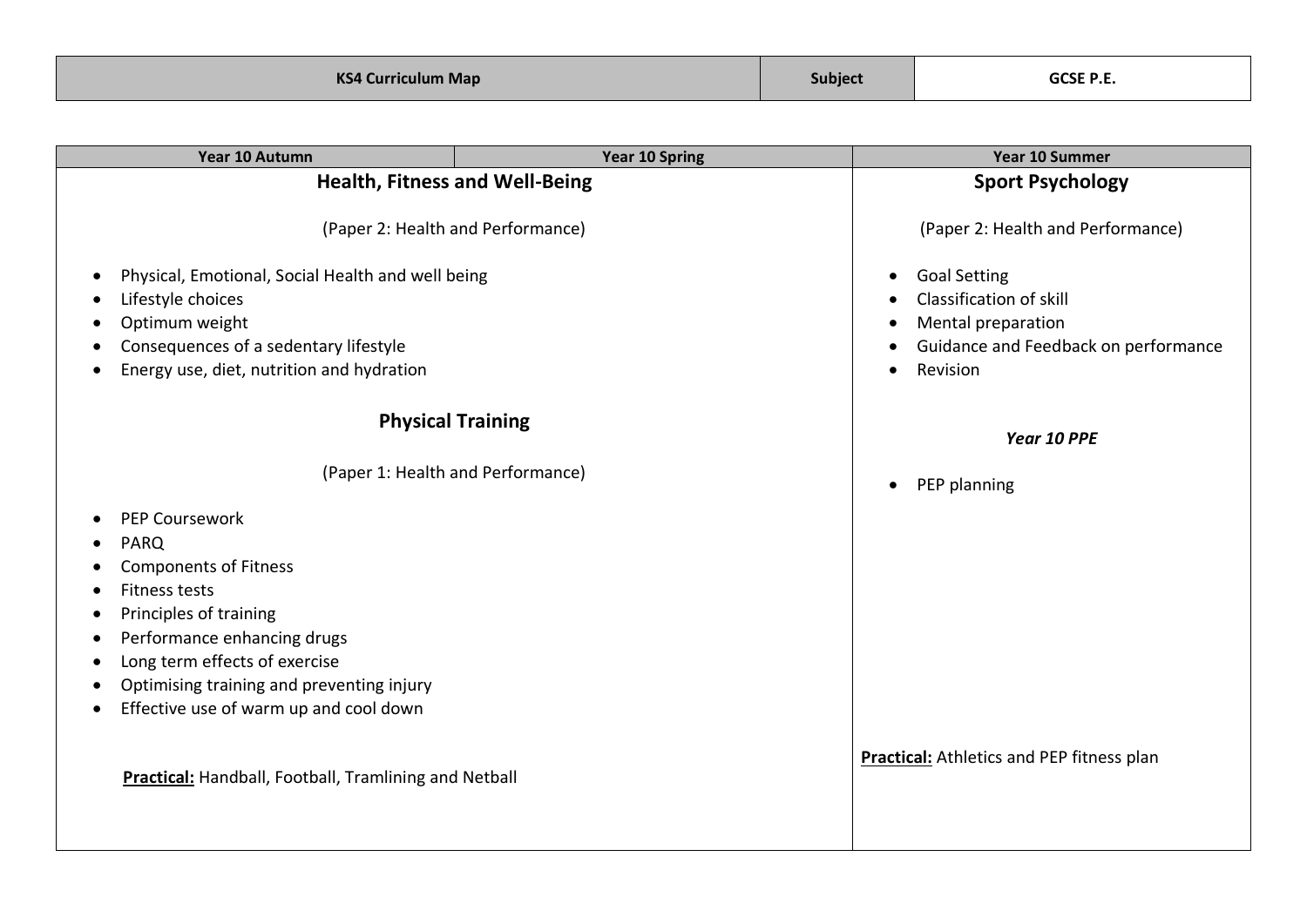| Year 10 Autumn                                                                                                                                                                 | Year 10 Spring                    | Year 10 Summer                                                                                                           |
|--------------------------------------------------------------------------------------------------------------------------------------------------------------------------------|-----------------------------------|--------------------------------------------------------------------------------------------------------------------------|
| <b>Health, Fitness and Well-Being</b>                                                                                                                                          |                                   | <b>Sport Psychology</b>                                                                                                  |
| (Paper 2: Health and Performance)                                                                                                                                              |                                   | (Paper 2: Health and Performance)                                                                                        |
| Physical, Emotional, Social Health and well being<br>Lifestyle choices<br>Optimum weight<br>Consequences of a sedentary lifestyle<br>Energy use, diet, nutrition and hydration |                                   | <b>Goal Setting</b><br>Classification of skill<br>Mental preparation<br>Guidance and Feedback on performance<br>Revision |
| <b>Physical Training</b>                                                                                                                                                       |                                   | Year 10 PPE                                                                                                              |
|                                                                                                                                                                                | (Paper 1: Health and Performance) | PEP planning                                                                                                             |
| <b>PEP Coursework</b>                                                                                                                                                          |                                   |                                                                                                                          |
| <b>PARQ</b>                                                                                                                                                                    |                                   |                                                                                                                          |
| <b>Components of Fitness</b>                                                                                                                                                   |                                   |                                                                                                                          |
| <b>Fitness tests</b>                                                                                                                                                           |                                   |                                                                                                                          |
| Principles of training                                                                                                                                                         |                                   |                                                                                                                          |
| Performance enhancing drugs<br>Long term effects of exercise                                                                                                                   |                                   |                                                                                                                          |
| Optimising training and preventing injury                                                                                                                                      |                                   |                                                                                                                          |
| Effective use of warm up and cool down                                                                                                                                         |                                   |                                                                                                                          |
| <b>Practical:</b> Handball, Football, Tramlining and Netball                                                                                                                   |                                   | <b>Practical:</b> Athletics and PEP fitness plan                                                                         |